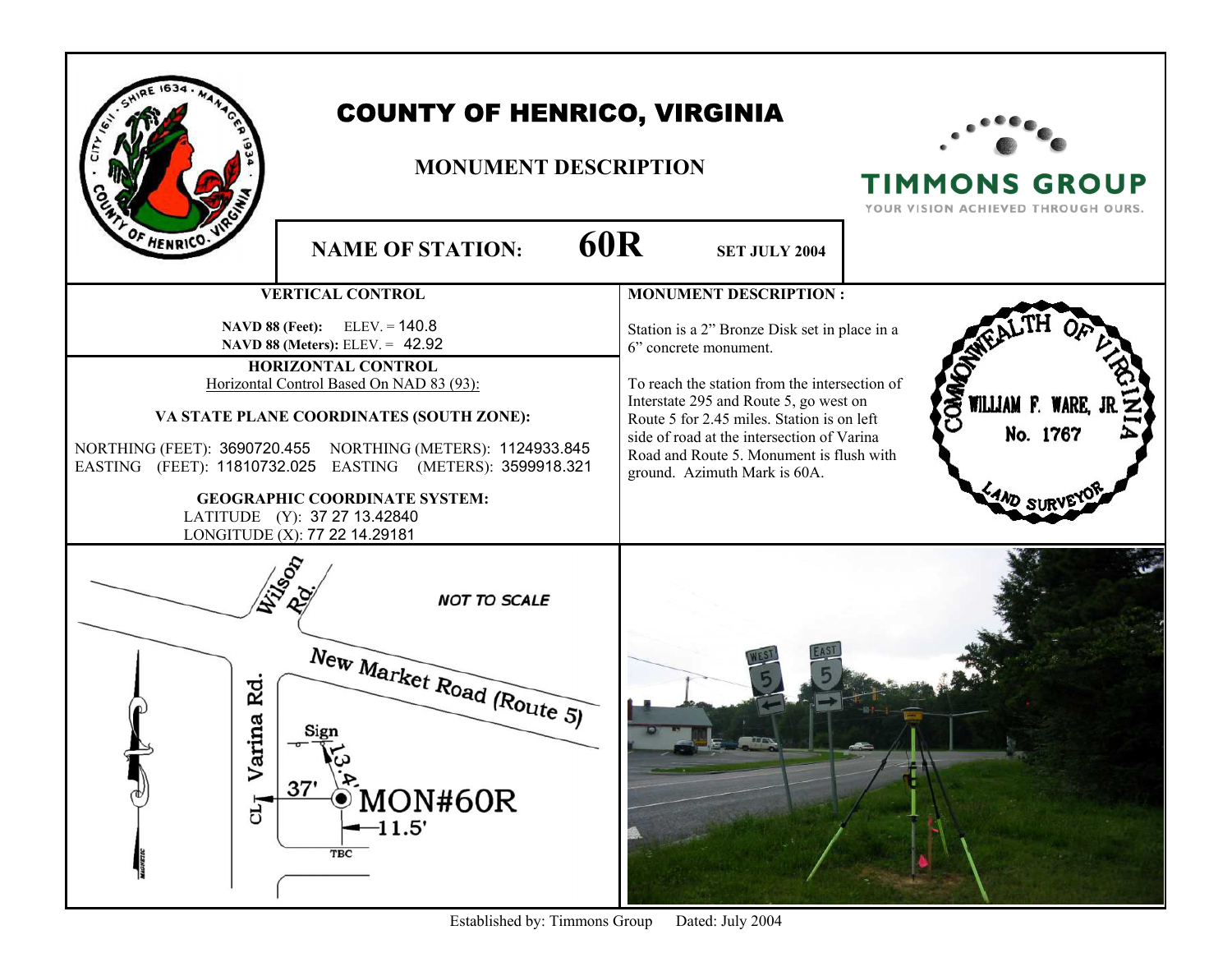| <b>COUNTY OF HENRICO, VIRGINIA</b><br><b>MONUMENT DESCRIPTION</b><br><b>TIMMONS GROUP</b><br>YOUR VISION ACHIEVED THROUGH OURS.<br>OF HENRICO.<br><b>60R</b> |                                               |
|--------------------------------------------------------------------------------------------------------------------------------------------------------------|-----------------------------------------------|
| <b>NAME OF STATION:</b>                                                                                                                                      | <b>SET JULY 2004</b>                          |
| <b>VERTICAL CONTROL</b>                                                                                                                                      | <b>MONUMENT DESCRIPTION:</b>                  |
| <b>NAVD 88 (Feet):</b> ELEV. = $140.8$                                                                                                                       | Station is a 2" Bronze Disk set in place in a |
| <b>NAVD 88 (Meters): ELEV. = 42.92</b>                                                                                                                       | 6" concrete monument.                         |
| HORIZONTAL CONTROL                                                                                                                                           | To reach the station from the intersection of |
| Horizontal Control Based On NAD 83 (93):                                                                                                                     | Interstate 295 and Route 5, go west on        |
| VA STATE PLANE COORDINATES (SOUTH ZONE):                                                                                                                     | WILLIAM F. WARE,                              |
| NORTHING (FEET): 3690720.455 NORTHING (METERS): 1124933.845                                                                                                  | Route 5 for 2.45 miles. Station is on left    |
| EASTING (FEET): 11810732.025 EASTING (METERS): 3599918.321                                                                                                   | No. 1767                                      |
| <b>GEOGRAPHIC COORDINATE SYSTEM:</b>                                                                                                                         | side of road at the intersection of Varina    |
| LATITUDE (Y): 37 27 13.42840                                                                                                                                 | Road and Route 5. Monument is flush with      |
| LONGITUDE (X): 77 22 14.29181                                                                                                                                | ground. Azimuth Mark is 60A.                  |
| <b>NOT TO SCALE</b><br>New Market Road (Route 5)<br>Rd<br>rina<br>Va<br>37'<br>MON#60R<br>ЪŢ<br>11.5'<br>TBC                                                 |                                               |

Established by: Timmons Group Dated: July 2004